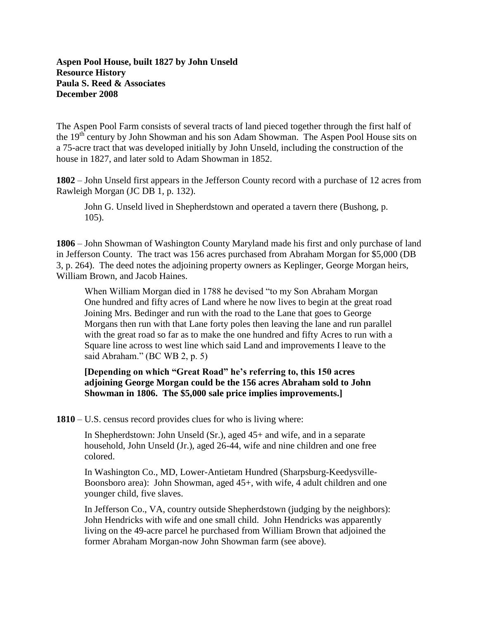The Aspen Pool Farm consists of several tracts of land pieced together through the first half of the 19<sup>th</sup> century by John Showman and his son Adam Showman. The Aspen Pool House sits on a 75-acre tract that was developed initially by John Unseld, including the construction of the house in 1827, and later sold to Adam Showman in 1852.

**1802** – John Unseld first appears in the Jefferson County record with a purchase of 12 acres from Rawleigh Morgan (JC DB 1, p. 132).

John G. Unseld lived in Shepherdstown and operated a tavern there (Bushong, p. 105).

**1806** – John Showman of Washington County Maryland made his first and only purchase of land in Jefferson County. The tract was 156 acres purchased from Abraham Morgan for \$5,000 (DB 3, p. 264). The deed notes the adjoining property owners as Keplinger, George Morgan heirs, William Brown, and Jacob Haines.

When William Morgan died in 1788 he devised "to my Son Abraham Morgan One hundred and fifty acres of Land where he now lives to begin at the great road Joining Mrs. Bedinger and run with the road to the Lane that goes to George Morgans then run with that Lane forty poles then leaving the lane and run parallel with the great road so far as to make the one hundred and fifty Acres to run with a Square line across to west line which said Land and improvements I leave to the said Abraham." (BC WB 2, p. 5)

**[Depending on which "Great Road" he's referring to, this 150 acres adjoining George Morgan could be the 156 acres Abraham sold to John Showman in 1806. The \$5,000 sale price implies improvements.]**

**1810** – U.S. census record provides clues for who is living where:

In Shepherdstown: John Unseld (Sr.), aged 45+ and wife, and in a separate household, John Unseld (Jr.), aged 26-44, wife and nine children and one free colored.

In Washington Co., MD, Lower-Antietam Hundred (Sharpsburg-Keedysville-Boonsboro area): John Showman, aged 45+, with wife, 4 adult children and one younger child, five slaves.

In Jefferson Co., VA, country outside Shepherdstown (judging by the neighbors): John Hendricks with wife and one small child. John Hendricks was apparently living on the 49-acre parcel he purchased from William Brown that adjoined the former Abraham Morgan-now John Showman farm (see above).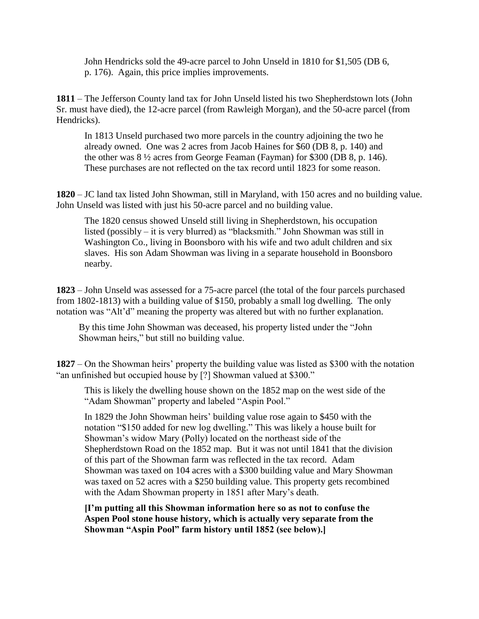John Hendricks sold the 49-acre parcel to John Unseld in 1810 for \$1,505 (DB 6, p. 176). Again, this price implies improvements.

**1811** – The Jefferson County land tax for John Unseld listed his two Shepherdstown lots (John Sr. must have died), the 12-acre parcel (from Rawleigh Morgan), and the 50-acre parcel (from Hendricks).

In 1813 Unseld purchased two more parcels in the country adjoining the two he already owned. One was 2 acres from Jacob Haines for \$60 (DB 8, p. 140) and the other was 8 ½ acres from George Feaman (Fayman) for \$300 (DB 8, p. 146). These purchases are not reflected on the tax record until 1823 for some reason.

**1820** – JC land tax listed John Showman, still in Maryland, with 150 acres and no building value. John Unseld was listed with just his 50-acre parcel and no building value.

The 1820 census showed Unseld still living in Shepherdstown, his occupation listed (possibly – it is very blurred) as "blacksmith." John Showman was still in Washington Co., living in Boonsboro with his wife and two adult children and six slaves. His son Adam Showman was living in a separate household in Boonsboro nearby.

**1823** – John Unseld was assessed for a 75-acre parcel (the total of the four parcels purchased from 1802-1813) with a building value of \$150, probably a small log dwelling. The only notation was "Alt'd" meaning the property was altered but with no further explanation.

By this time John Showman was deceased, his property listed under the "John Showman heirs," but still no building value.

**1827** – On the Showman heirs' property the building value was listed as \$300 with the notation "an unfinished but occupied house by [?] Showman valued at \$300."

This is likely the dwelling house shown on the 1852 map on the west side of the "Adam Showman" property and labeled "Aspin Pool."

In 1829 the John Showman heirs' building value rose again to \$450 with the notation "\$150 added for new log dwelling." This was likely a house built for Showman's widow Mary (Polly) located on the northeast side of the Shepherdstown Road on the 1852 map. But it was not until 1841 that the division of this part of the Showman farm was reflected in the tax record. Adam Showman was taxed on 104 acres with a \$300 building value and Mary Showman was taxed on 52 acres with a \$250 building value. This property gets recombined with the Adam Showman property in 1851 after Mary's death.

**[I'm putting all this Showman information here so as not to confuse the Aspen Pool stone house history, which is actually very separate from the Showman "Aspin Pool" farm history until 1852 (see below).]**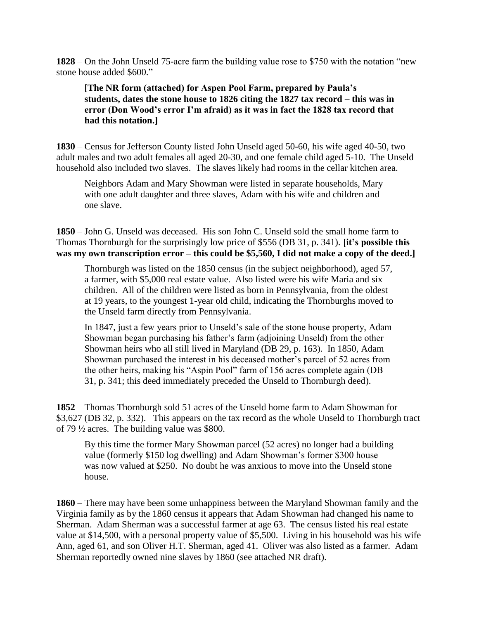**1828** – On the John Unseld 75-acre farm the building value rose to \$750 with the notation "new stone house added \$600."

**[The NR form (attached) for Aspen Pool Farm, prepared by Paula's students, dates the stone house to 1826 citing the 1827 tax record – this was in error (Don Wood's error I'm afraid) as it was in fact the 1828 tax record that had this notation.]**

**1830** – Census for Jefferson County listed John Unseld aged 50-60, his wife aged 40-50, two adult males and two adult females all aged 20-30, and one female child aged 5-10. The Unseld household also included two slaves. The slaves likely had rooms in the cellar kitchen area.

Neighbors Adam and Mary Showman were listed in separate households, Mary with one adult daughter and three slaves, Adam with his wife and children and one slave.

**1850** – John G. Unseld was deceased. His son John C. Unseld sold the small home farm to Thomas Thornburgh for the surprisingly low price of \$556 (DB 31, p. 341). **[it's possible this was my own transcription error – this could be \$5,560, I did not make a copy of the deed.]**

Thornburgh was listed on the 1850 census (in the subject neighborhood), aged 57, a farmer, with \$5,000 real estate value. Also listed were his wife Maria and six children. All of the children were listed as born in Pennsylvania, from the oldest at 19 years, to the youngest 1-year old child, indicating the Thornburghs moved to the Unseld farm directly from Pennsylvania.

In 1847, just a few years prior to Unseld's sale of the stone house property, Adam Showman began purchasing his father's farm (adjoining Unseld) from the other Showman heirs who all still lived in Maryland (DB 29, p. 163). In 1850, Adam Showman purchased the interest in his deceased mother's parcel of 52 acres from the other heirs, making his "Aspin Pool" farm of 156 acres complete again (DB 31, p. 341; this deed immediately preceded the Unseld to Thornburgh deed).

**1852** – Thomas Thornburgh sold 51 acres of the Unseld home farm to Adam Showman for \$3,627 (DB 32, p. 332). This appears on the tax record as the whole Unseld to Thornburgh tract of 79 ½ acres. The building value was \$800.

By this time the former Mary Showman parcel (52 acres) no longer had a building value (formerly \$150 log dwelling) and Adam Showman's former \$300 house was now valued at \$250. No doubt he was anxious to move into the Unseld stone house.

**1860** – There may have been some unhappiness between the Maryland Showman family and the Virginia family as by the 1860 census it appears that Adam Showman had changed his name to Sherman. Adam Sherman was a successful farmer at age 63. The census listed his real estate value at \$14,500, with a personal property value of \$5,500. Living in his household was his wife Ann, aged 61, and son Oliver H.T. Sherman, aged 41. Oliver was also listed as a farmer. Adam Sherman reportedly owned nine slaves by 1860 (see attached NR draft).